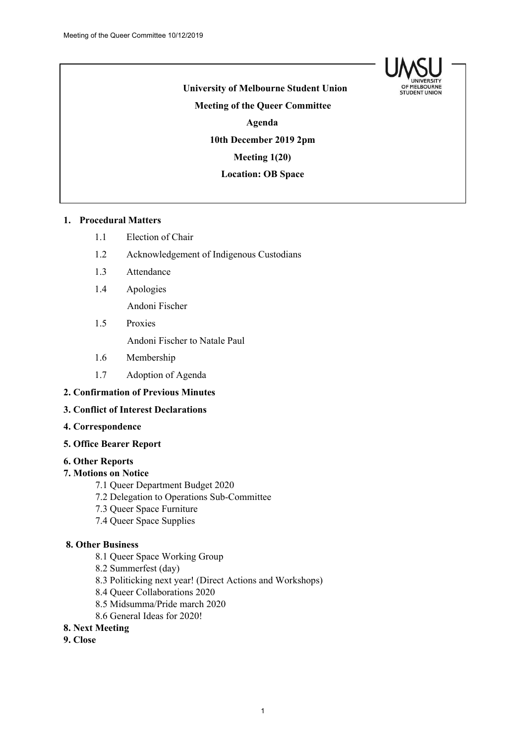

**University of Melbourne Student Union Meeting of the Queer Committee Agenda 10th December 2019 2pm Meeting 1(20) Location: OB Space**

## **1. Procedural Matters**

- 1.1 Election of Chair
- 1.2 Acknowledgement of Indigenous Custodians
- 1.3 Attendance
- 1.4 Apologies

Andoni Fischer

1.5 Proxies

Andoni Fischer to Natale Paul

- 1.6 Membership
- 1.7 Adoption of Agenda

### **2. Confirmation of Previous Minutes**

### **3. Conflict of Interest Declarations**

**4. Correspondence**

### **5. Office Bearer Report**

### **6. Other Reports**

### **7. Motions on Notice**

- 7.1 Queer Department Budget 2020
- 7.2 Delegation to Operations Sub-Committee
- 7.3 Queer Space Furniture
- 7.4 Queer Space Supplies

## **8. Other Business**

- 8.1 Queer Space Working Group
- 8.2 Summerfest (day)
- 8.3 Politicking next year! (Direct Actions and Workshops)
- 8.4 Queer Collaborations 2020
- 8.5 Midsumma/Pride march 2020
- 8.6 General Ideas for 2020!

### **8. Next Meeting**

**9. Close**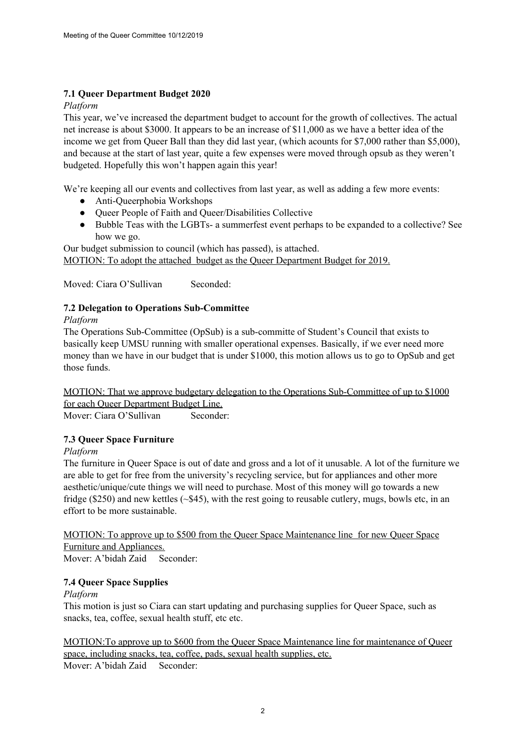# **7.1 Queer Department Budget 2020**

## *Platform*

This year, we've increased the department budget to account for the growth of collectives. The actual net increase is about \$3000. It appears to be an increase of \$11,000 as we have a better idea of the income we get from Queer Ball than they did last year, (which acounts for \$7,000 rather than \$5,000), and because at the start of last year, quite a few expenses were moved through opsub as they weren't budgeted. Hopefully this won't happen again this year!

We're keeping all our events and collectives from last year, as well as adding a few more events:

- Anti-Queerphobia Workshops
- Queer People of Faith and Queer/Disabilities Collective
- Bubble Teas with the LGBTs- a summerfest event perhaps to be expanded to a collective? See how we go.

Our budget submission to council (which has passed), is attached.

MOTION: To adopt the attached budget as the Queer Department Budget for 2019.

Moved: Ciara O'Sullivan Seconded:

# **7.2 Delegation to Operations Sub-Committee**

*Platform*

The Operations Sub-Committee (OpSub) is a sub-committe of Student's Council that exists to basically keep UMSU running with smaller operational expenses. Basically, if we ever need more money than we have in our budget that is under \$1000, this motion allows us to go to OpSub and get those funds.

MOTION: That we approve budgetary delegation to the Operations Sub-Committee of up to \$1000 for each Queer Department Budget Line.

Mover: Ciara O'Sullivan Seconder:

# **7.3 Queer Space Furniture**

# *Platform*

The furniture in Queer Space is out of date and gross and a lot of it unusable. A lot of the furniture we are able to get for free from the university's recycling service, but for appliances and other more aesthetic/unique/cute things we will need to purchase. Most of this money will go towards a new fridge (\$250) and new kettles (~\$45), with the rest going to reusable cutlery, mugs, bowls etc, in an effort to be more sustainable.

MOTION: To approve up to \$500 from the Queer Space Maintenance line for new Queer Space Furniture and Appliances.

Mover: A'bidah Zaid Seconder:

# **7.4 Queer Space Supplies**

# *Platform*

This motion is just so Ciara can start updating and purchasing supplies for Queer Space, such as snacks, tea, coffee, sexual health stuff, etc etc.

MOTION:To approve up to \$600 from the Queer Space Maintenance line for maintenance of Queer space, including snacks, tea, coffee, pads, sexual health supplies, etc. Mover: A'bidah Zaid Seconder: